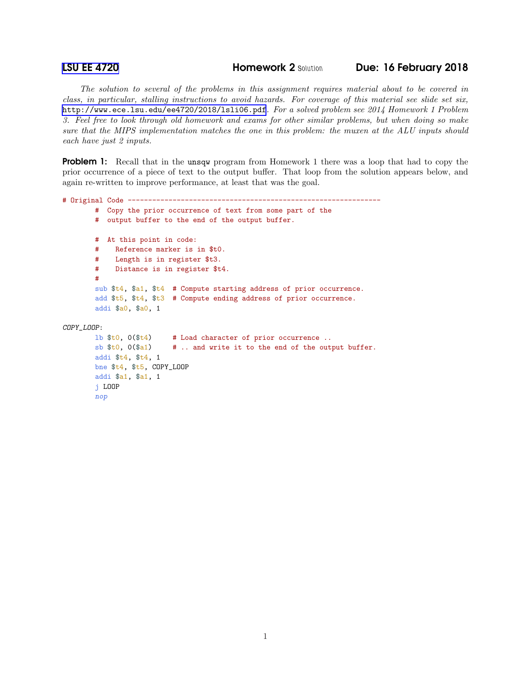j LOOP nop

**[LSU EE 4720](http://www.ece.lsu.edu/ee4720/) Homework 2 Solution Due: 16 February 2018** 

*The solution to several of the problems in this assignment requires material about to be covered in class, in particular, stalling instructions to avoid hazards. For coverage of this material see slide set six,* <http://www.ece.lsu.edu/ee4720/2018/lsli06.pdf>*. For a solved problem see 2014 Homework 1 Problem 3. Feel free to look through old homework and exams for other similar problems, but when doing so make sure that the MIPS implementation matches the one in this problem: the muxen at the ALU inputs should each have just 2 inputs.*

**Problem 1:** Recall that in the unsqw program from Homework 1 there was a loop that had to copy the prior occurrence of a piece of text to the output buffer. That loop from the solution appears below, and again re-written to improve performance, at least that was the goal.

```
# Original Code --------------------------------------------------------------
       # Copy the prior occurrence of text from some part of the
       # output buffer to the end of the output buffer.
       # At this point in code:
       # Reference marker is in $t0.
       # Length is in register $t3.
       # Distance is in register $t4.
       #
       sub $t4, $a1, $t4 # Compute starting address of prior occurrence.
       add $t5, $t4, $t3 # Compute ending address of prior occurrence.
       addi $a0, $a0, 1
COPY_LOOP:
       lb $t0, 0($t4) # Load character of prior occurrence ..
       sb $t0, 0 ($a1) # .. and write it to the end of the output buffer.
       addi $t4, $t4, 1
       bne $t4, $t5, COPY_LOOP
       addi $a1, $a1, 1
```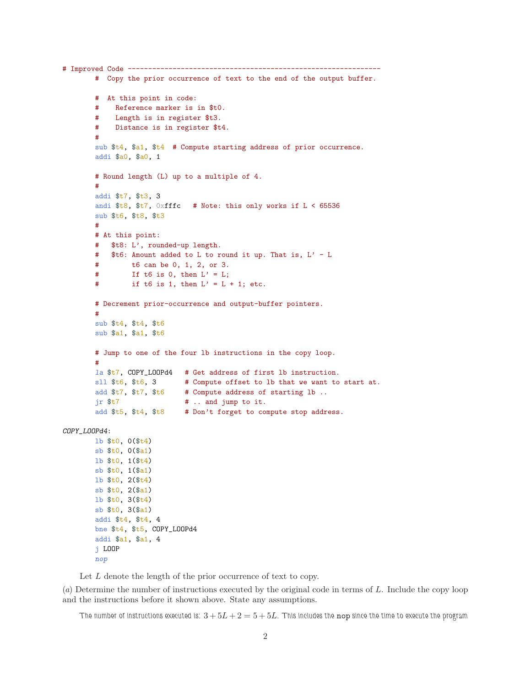```
# Improved Code --------------------------------------------------------------
       # Copy the prior occurrence of text to the end of the output buffer.
       # At this point in code:
       # Reference marker is in $t0.
       # Length is in register $t3.
       # Distance is in register $t4.
       #
       sub $t4, $a1, $t4 # Compute starting address of prior occurrence.
       addi $a0, $a0, 1
       # Round length (L) up to a multiple of 4.
       #
       addi $t7, $t3, 3
       andi $t8, $t7, 0xfffc # Note: this only works if L < 65536sub $t6, $t8, $t3
       #
       # At this point:
       # $t8: L', rounded-up length.
       # $t6: Amount added to L to round it up. That is, L' - L# t6 can be 0, 1, 2, or 3.
        # If t6 is 0, then L' = L;
       # if t6 is 1, then L' = L + 1; etc.
       # Decrement prior-occurrence and output-buffer pointers.
       #
       sub $t4, $t4, $t6
       sub $a1, $a1, $t6
       # Jump to one of the four lb instructions in the copy loop.
        #
       la $t7, COPY_LOOPd4 # Get address of first lb instruction.
       sll $t6, $t6, 3 # Compute offset to lb that we want to start at.
       add $t7, $t7, $t6 # Compute address of starting 1b ..
       jr t7 # .. and jump to it.
       add $t5, $t4, $t8 # Don't forget to compute stop address.
COPY_LOOPd4:
       lb $t0, 0($t4)
       sb $t0, 0 ($a1)lb $t0, 1($t4)
       sb $t0, 1($a1)
       lb $t0, 2($t4)
       sb $t0, 2($a1)
       lb $t0, 3($t4)
       sb $t0, 3($a1)
       addi $t4, $t4, 4
       bne $t4, $t5, COPY_LOOPd4
       addi $a1, $a1, 4
       j LOOP
       nop
```
Let  $L$  denote the length of the prior occurrence of text to copy.

(*a*) Determine the number of instructions executed by the original code in terms of L. Include the copy loop and the instructions before it shown above. State any assumptions.

The number of instructions executed is:  $3+5L+2=5+5L$ . This includes the nop since the time to execute the program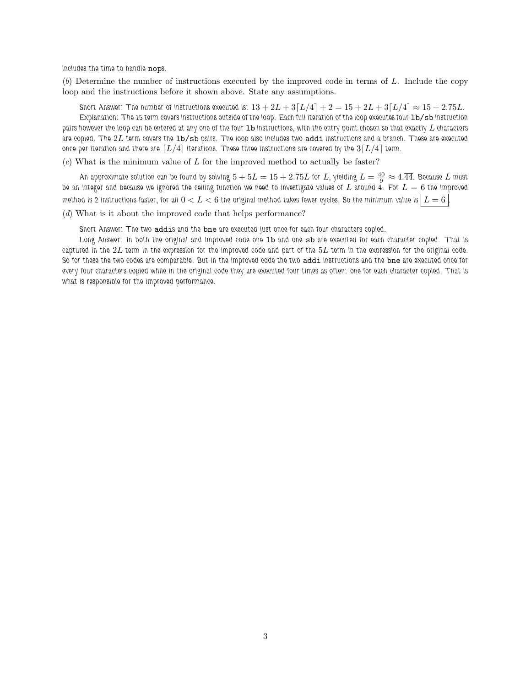includes the time to handle nops.

(*b*) Determine the number of instructions executed by the improved code in terms of L. Include the copy loop and the instructions before it shown above. State any assumptions.

Short Answer: The number of instructions executed is:  $13 + 2L + 3[L/4] + 2 = 15 + 2L + 3[L/4] \approx 15 + 2.75L$ .

Explanation: The 15 term covers instructions outside of the loop. Each full iteration of the loop executes four 1b/sb instruction pairs however the loop can be entered at any one of the four 1b instructions, with the entry point chosen so that exactly L characters are copied. The  $2L$  term covers the  $1b/sb$  pairs. The loop also includes two  $addi$  instructions and a branch. These are executed once per iteration and there are  $[L/4]$  iterations. These three instructions are covered by the  $3[L/4]$  term.

(*c*) What is the minimum value of L for the improved method to actually be faster?

An approximate solution can be found by solving  $5+5L=15+2.75L$  for  $L$ , yielding  $L=\frac{40}{9}\approx 4.\overline{44}.$  Because  $L$  must be an integer and because we ignored the ceiling function we need to investigate values of  $L$  around 4. For  $L = 6$  the improved method is 2 instructions faster, for all  $0 < L < 6$  the original method takes fewer cycles. So the minimum value is  $\mid\! L = 6 \! \mid$ 

(*d*) What is it about the improved code that helps performance?

Short Answer: The two addis and the bne are executed just once for each four characters copied.

Long Answer: In both the original and improved code one 1b and one sb are executed for each character copied. That is captured in the  $2L$  term in the expression for the improved code and part of the  $5L$  term in the expression for the original code. So for these the two codes are comparable. But in the improved code the two addi instructions and the bne are executed once for every four characters copied while in the original code they are executed four times as often: one for each character copied. That is what is responsible for the improved performance.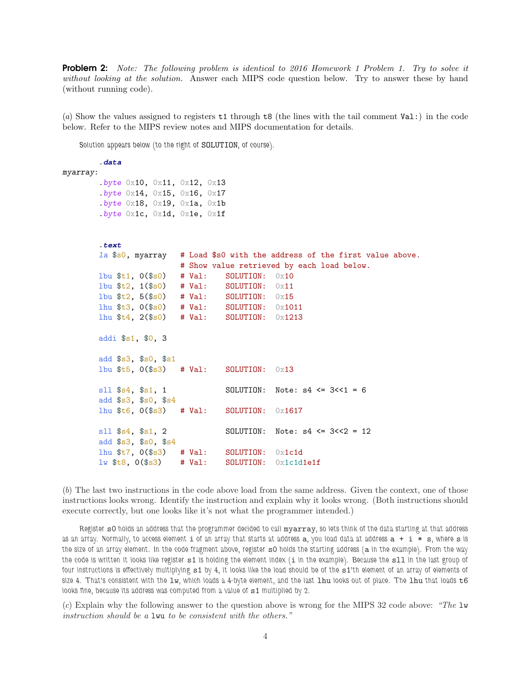Problem 2: *Note: The following problem is identical to 2016 Homework 1 Problem 1. Try to solve it without looking at the solution.* Answer each MIPS code question below. Try to answer these by hand (without running code).

(*a*) Show the values assigned to registers t1 through t8 (the lines with the tail comment Val:) in the code below. Refer to the MIPS review notes and MIPS documentation for details.

Solution appears below (to the right of SOLUTION, of course).

```
.data
myarray:
       .byte 0x10, 0x11, 0x12, 0x13
       .byte 0x14, 0x15, 0x16, 0x17
       .byte 0x18, 0x19, 0x1a, 0x1b.byte 0x1c, 0x1d, 0x1e, 0x1f
       .text
       la $s0, myarray # Load $s0 with the address of the first value above.
                        # Show value retrieved by each load below.
       lbu $t1, 0($s0) # Val: SOLUTION: 0x10
       lbu t_2, 1(t_0) # Val: SOLUTION: 0 \times 11lbu t_2, 5(s_0) # Val: SOLUTION: 0x15lhu $t3, 0($s0) # Val: SOLUTION: 0x1011
       lhu $t4, 2($s0) # Val: SOLUTION: 0x1213
       addi $s1, $0, 3
       add $s3, $s0, $s1
       1bu t_5, 0(t_53) # Val: SOLUTION: 0 \times 13sll $s4, $s1, 1 SOLUTION: Note: s4 \leq 3 \leq 1 = 6add $s3, $s0, $s4
       lhu $t6, 0($s3) # Val: SOLUTION: 0x1617
       s11 s4, s1, 2 <br>SOLUTION: Note: s4 <= 3 <<2 = 12add $s3, $s0, $s4
       lhu t7, 0(s3) # Val: SOLUTION: 0x1c1dlw t8, 0(s3) # Val: SOLUTION: 0x1c1d1ef
```
(*b*) The last two instructions in the code above load from the same address. Given the context, one of those instructions looks wrong. Identify the instruction and explain why it looks wrong. (Both instructions should execute correctly, but one looks like it's not what the programmer intended.)

Register s0 holds an address that the programmer decided to call myarray, so lets think of the data starting at that address as an array. Normally, to access element i of an array that starts at address a, you load data at address a + i \* s, where s is the size of an array element. In the code fragment above, register s0 holds the starting address (a in the example). From the way the code is written it looks like register s1 is holding the element index (i in the example). Because the s11 in the last group of four instructions is effectively multiplying  $s1$  by 4, it looks like the load should be of the  $s1$ 'th element of an array of elements of size 4. That's consistent with the  $1w$ , which loads a 4-byte element, and the last  $1hu$  looks out of place. The  $1hu$  that loads  $t6$ looks fine, because its address was computed from a value of s1 multiplied by 2.

(*c*) Explain why the following answer to the question above is wrong for the MIPS 32 code above: *"The* lw *instruction should be a* lwu *to be consistent with the others."*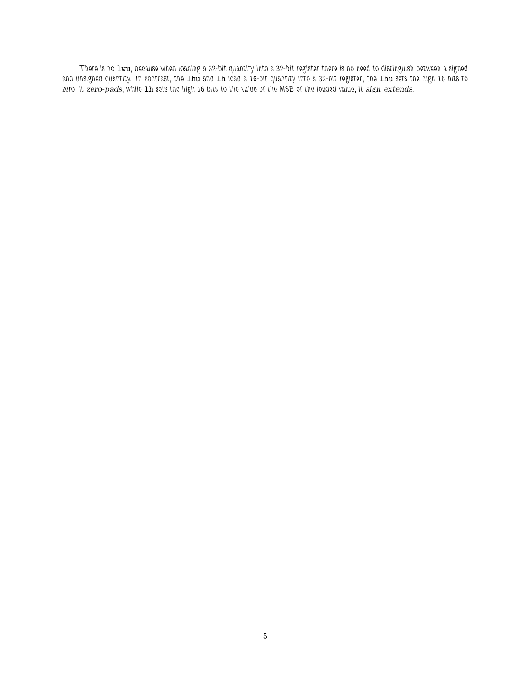There is no  $1$ wu, because when loading a 32-bit quantity into a 32-bit register there is no need to distinguish between a signed and unsigned quantity. In contrast, the 1hu and 1h load a 16-bit quantity into a 32-bit register, the 1hu sets the high 16 bits to zero, it zero-pads, while 1h sets the high 16 bits to the value of the MSB of the loaded value, it sign extends.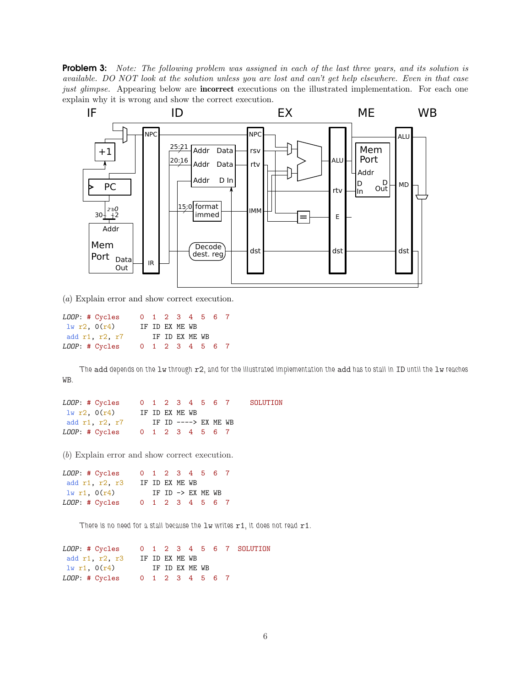Problem 3: *Note: The following problem was assigned in each of the last three years, and its solution is available. DO NOT look at the solution unless you are lost and can't get help elsewhere. Even in that case just glimpse.* Appearing below are **incorrect** executions on the illustrated implementation. For each one explain why it is wrong and show the correct execution.



(*a*) Explain error and show correct execution.

| LOOP: # Cycles |  |                | 0 1 2 3 4 5 6 7 |  |  |
|----------------|--|----------------|-----------------|--|--|
| 1w r2, 0(r4)   |  | IF ID EX ME WB |                 |  |  |
| add r1, r2, r7 |  |                | IF ID EX ME WB  |  |  |
| LOOP: # Cycles |  |                | 0 1 2 3 4 5 6 7 |  |  |

The add depends on the  $1w$  through  $r2$ , and for the illustrated implementation the add has to stall in ID until the  $1w$  reaches WB.

| LOOP: # Cycles                 |  |                | 0 1 2 3 4 5 6 7      |  | SOLUTION |
|--------------------------------|--|----------------|----------------------|--|----------|
| $1w_T2, 0(r4)$                 |  | IF ID EX ME WB |                      |  |          |
| add r1, r2, r7                 |  |                | IF ID ----> EX ME WB |  |          |
| LOOP: # Cycles 0 1 2 3 4 5 6 7 |  |                |                      |  |          |

(*b*) Explain error and show correct execution.

LOOP: # Cycles 0 1 2 3 4 5 6 7 add r1, r2, r3 IF ID EX ME WB lw r1,  $0(r4)$  IF ID -> EX ME WB LOOP: # Cycles 0 1 2 3 4 5 6 7

There is no need for a stall because the  $1w$  writes  $r1$ , it does not read  $r1$ .

| LOOP: # Cycles                 |                |  |                |  |  | 0 1 2 3 4 5 6 7 SOLUTION |
|--------------------------------|----------------|--|----------------|--|--|--------------------------|
| add r1 r2, r3                  |                |  | IF ID EX ME WB |  |  |                          |
| 1w r1, 0(r4)                   | IF ID EX ME WB |  |                |  |  |                          |
| LOOP: # Cycles 0 1 2 3 4 5 6 7 |                |  |                |  |  |                          |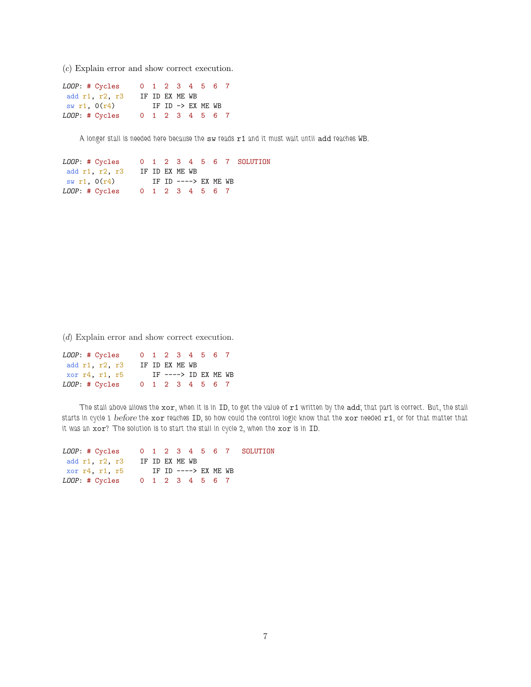(*c*) Explain error and show correct execution.

| LOOP: # Cycles |  | 0 1 2 3 4 5 6 7              |  |  |  |
|----------------|--|------------------------------|--|--|--|
| add r1, r2, r3 |  | IF ID EX ME WB               |  |  |  |
| sw r1, 0(r4)   |  | IF ID $\rightarrow$ EX ME WB |  |  |  |
| LOOP: # Cycles |  | 0 1 2 3 4 5 6 7              |  |  |  |

A longer stall is needed here because the sw reads r1 and it must wait until add reaches WB.

LOOP: # Cycles 0 1 2 3 4 5 6 7 SOLUTION add r1, r2, r3 IF ID EX ME WB  $sw r1$ ,  $O(r4)$  IF ID ----> EX ME WB LOOP: # Cycles 0 1 2 3 4 5 6 7

(*d*) Explain error and show correct execution.

| LOOP: # Cycles | 0 1 2 3 4 5 6 7 |                |                      |  |  |
|----------------|-----------------|----------------|----------------------|--|--|
| add r1, r2, r3 |                 | IF ID EX ME WB |                      |  |  |
| xor r4, r1, r5 |                 |                | IF ----> ID EX ME WB |  |  |
|                |                 |                |                      |  |  |

The stall above allows the  $x$ or, when it is in ID, to get the value of  $r1$  written by the add; that part is correct. But, the stall starts in cycle 1 before the xor reaches ID, so how could the control logic know that the xor needed r1, or for that matter that it was an xor? The solution is to start the stall in cycle 2, when the xor is in ID.

| LOOP: # Cycles 0 1 2 3 4 5 6 7 SOLUTION |  |                |                      |  |  |
|-----------------------------------------|--|----------------|----------------------|--|--|
| add r1, r2, r3                          |  | IF ID EX ME WB |                      |  |  |
| xor r4, r1, r5                          |  |                | IF ID ----> EX ME WB |  |  |
| LOOP: # Cycles 0 1 2 3 4 5 6 7          |  |                |                      |  |  |